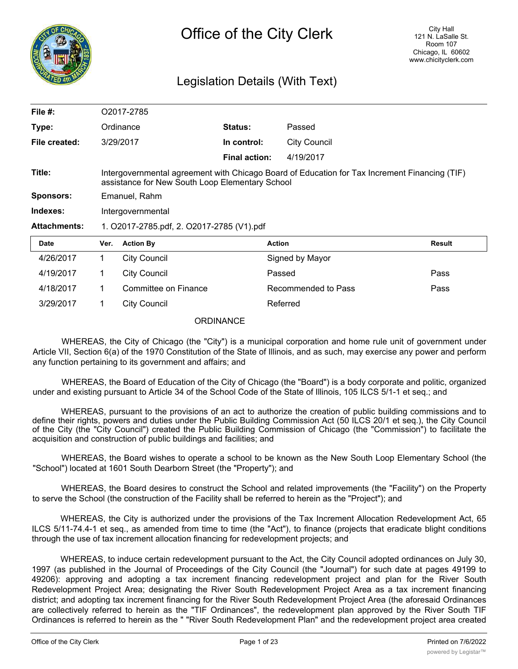

# Legislation Details (With Text)

| File $#$ :          | O2017-2785                                                                                                                                       |                      |                      |                     |               |
|---------------------|--------------------------------------------------------------------------------------------------------------------------------------------------|----------------------|----------------------|---------------------|---------------|
| Type:               |                                                                                                                                                  | Ordinance            | Status:              | Passed              |               |
| File created:       |                                                                                                                                                  | 3/29/2017            | In control:          | <b>City Council</b> |               |
|                     |                                                                                                                                                  |                      | <b>Final action:</b> | 4/19/2017           |               |
| Title:              | Intergovernmental agreement with Chicago Board of Education for Tax Increment Financing (TIF)<br>assistance for New South Loop Elementary School |                      |                      |                     |               |
| <b>Sponsors:</b>    | Emanuel, Rahm                                                                                                                                    |                      |                      |                     |               |
| Indexes:            | Intergovernmental                                                                                                                                |                      |                      |                     |               |
| <b>Attachments:</b> | 1. O2017-2785.pdf, 2. O2017-2785 (V1).pdf                                                                                                        |                      |                      |                     |               |
| <b>Date</b>         | Ver.                                                                                                                                             | <b>Action By</b>     |                      | <b>Action</b>       | <b>Result</b> |
| 4/26/2017           | 1.                                                                                                                                               | <b>City Council</b>  |                      | Signed by Mayor     |               |
| 4/19/2017           | 1                                                                                                                                                | <b>City Council</b>  |                      | Passed              | Pass          |
| 4/18/2017           | $\mathbf 1$                                                                                                                                      | Committee on Finance |                      | Recommended to Pass | Pass          |
| 3/29/2017           | 1                                                                                                                                                | <b>City Council</b>  |                      | Referred            |               |

**ORDINANCE** 

WHEREAS, the City of Chicago (the "City") is a municipal corporation and home rule unit of government under Article VII, Section 6(a) of the 1970 Constitution of the State of Illinois, and as such, may exercise any power and perform any function pertaining to its government and affairs; and

WHEREAS, the Board of Education of the City of Chicago (the "Board") is a body corporate and politic, organized under and existing pursuant to Article 34 of the School Code of the State of Illinois, 105 ILCS 5/1-1 et seq.; and

WHEREAS, pursuant to the provisions of an act to authorize the creation of public building commissions and to define their rights, powers and duties under the Public Building Commission Act (50 ILCS 20/1 et seq.), the City Council of the City (the "City Council") created the Public Building Commission of Chicago (the "Commission") to facilitate the acquisition and construction of public buildings and facilities; and

WHEREAS, the Board wishes to operate a school to be known as the New South Loop Elementary School (the "School") located at 1601 South Dearborn Street (the "Property"); and

WHEREAS, the Board desires to construct the School and related improvements (the "Facility") on the Property to serve the School (the construction of the Facility shall be referred to herein as the "Project"); and

WHEREAS, the City is authorized under the provisions of the Tax Increment Allocation Redevelopment Act, 65 ILCS 5/11-74.4-1 et seq., as amended from time to time (the "Act"), to finance (projects that eradicate blight conditions through the use of tax increment allocation financing for redevelopment projects; and

WHEREAS, to induce certain redevelopment pursuant to the Act, the City Council adopted ordinances on July 30, 1997 (as published in the Journal of Proceedings of the City Council (the "Journal") for such date at pages 49199 to 49206): approving and adopting a tax increment financing redevelopment project and plan for the River South Redevelopment Project Area; designating the River South Redevelopment Project Area as a tax increment financing district; and adopting tax increment financing for the River South Redevelopment Project Area (the aforesaid Ordinances are collectively referred to herein as the "TIF Ordinances", the redevelopment plan approved by the River South TIF Ordinances is referred to herein as the " "River South Redevelopment Plan" and the redevelopment project area created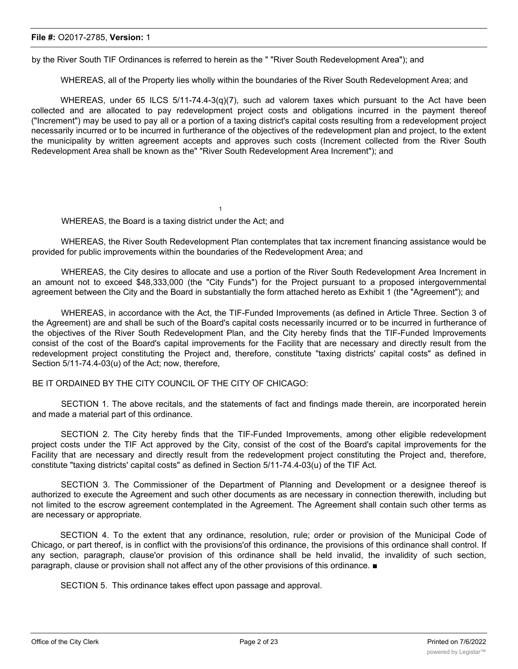by the River South TIF Ordinances is referred to herein as the " "River South Redevelopment Area"); and

1

WHEREAS, all of the Property lies wholly within the boundaries of the River South Redevelopment Area; and

WHEREAS, under 65 ILCS 5/11-74.4-3(q)(7), such ad valorem taxes which pursuant to the Act have been collected and are allocated to pay redevelopment project costs and obligations incurred in the payment thereof ("Increment") may be used to pay all or a portion of a taxing district's capital costs resulting from a redevelopment project necessarily incurred or to be incurred in furtherance of the objectives of the redevelopment plan and project, to the extent the municipality by written agreement accepts and approves such costs (Increment collected from the River South Redevelopment Area shall be known as the" "River South Redevelopment Area Increment"); and

WHEREAS, the Board is a taxing district under the Act; and

WHEREAS, the River South Redevelopment Plan contemplates that tax increment financing assistance would be provided for public improvements within the boundaries of the Redevelopment Area; and

WHEREAS, the City desires to allocate and use a portion of the River South Redevelopment Area Increment in an amount not to exceed \$48,333,000 (the "City Funds") for the Project pursuant to a proposed intergovernmental agreement between the City and the Board in substantially the form attached hereto as Exhibit 1 (the "Agreement"); and

WHEREAS, in accordance with the Act, the TIF-Funded Improvements (as defined in Article Three. Section 3 of the Agreement) are and shall be such of the Board's capital costs necessarily incurred or to be incurred in furtherance of the objectives of the River South Redevelopment Plan, and the City hereby finds that the TIF-Funded Improvements consist of the cost of the Board's capital improvements for the Facility that are necessary and directly result from the redevelopment project constituting the Project and, therefore, constitute "taxing districts' capital costs" as defined in Section 5/11-74.4-03(u) of the Act; now, therefore,

BE IT ORDAINED BY THE CITY COUNCIL OF THE CITY OF CHICAGO:

SECTION 1. The above recitals, and the statements of fact and findings made therein, are incorporated herein and made a material part of this ordinance.

SECTION 2. The City hereby finds that the TIF-Funded Improvements, among other eligible redevelopment project costs under the TIF Act approved by the City, consist of the cost of the Board's capital improvements for the Facility that are necessary and directly result from the redevelopment project constituting the Project and, therefore, constitute "taxing districts' capital costs" as defined in Section 5/11-74.4-03(u) of the TIF Act.

SECTION 3. The Commissioner of the Department of Planning and Development or a designee thereof is authorized to execute the Agreement and such other documents as are necessary in connection therewith, including but not limited to the escrow agreement contemplated in the Agreement. The Agreement shall contain such other terms as are necessary or appropriate.

SECTION 4. To the extent that any ordinance, resolution, rule; order or provision of the Municipal Code of Chicago, or part thereof, is in conflict with the provisions'of this ordinance, the provisions of this ordinance shall control. If any section, paragraph, clause'or provision of this ordinance shall be held invalid, the invalidity of such section, paragraph, clause or provision shall not affect any of the other provisions of this ordinance. ■

SECTION 5. This ordinance takes effect upon passage and approval.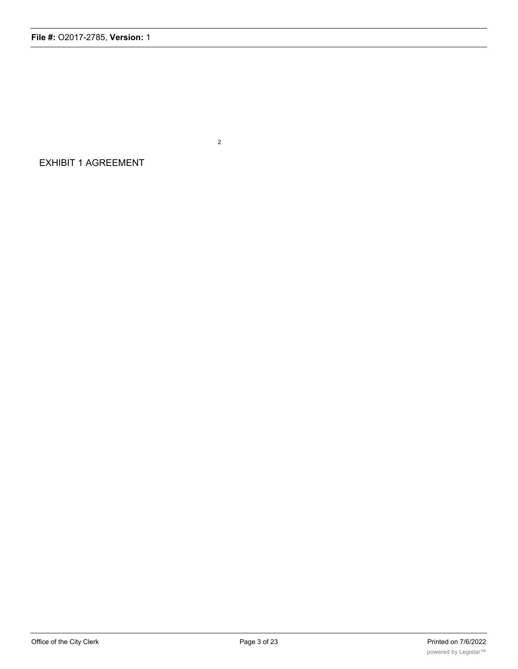EXHIBIT 1 AGREEMENT

2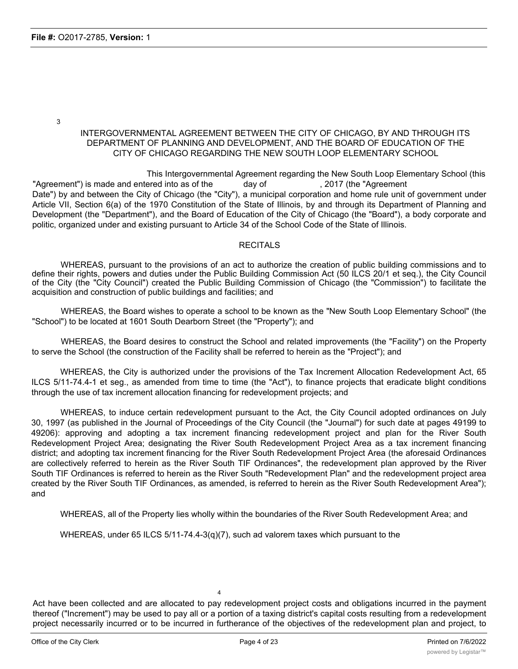3

## INTERGOVERNMENTAL AGREEMENT BETWEEN THE CITY OF CHICAGO, BY AND THROUGH ITS DEPARTMENT OF PLANNING AND DEVELOPMENT, AND THE BOARD OF EDUCATION OF THE CITY OF CHICAGO REGARDING THE NEW SOUTH LOOP ELEMENTARY SCHOOL

This Intergovernmental Agreement regarding the New South Loop Elementary School (this "Agreement") is made and entered into as of the day of  $\qquad \qquad$ , 2017 (the "Agreement") Date") by and between the City of Chicago (the "City"), a municipal corporation and home rule unit of government under Article VII, Section 6(a) of the 1970 Constitution of the State of Illinois, by and through its Department of Planning and Development (the "Department"), and the Board of Education of the City of Chicago (the "Board"), a body corporate and politic, organized under and existing pursuant to Article 34 of the School Code of the State of Illinois.

#### **RECITALS**

WHEREAS, pursuant to the provisions of an act to authorize the creation of public building commissions and to define their rights, powers and duties under the Public Building Commission Act (50 ILCS 20/1 et seq.), the City Council of the City (the "City Council") created the Public Building Commission of Chicago (the "Commission") to facilitate the acquisition and construction of public buildings and facilities; and

WHEREAS, the Board wishes to operate a school to be known as the "New South Loop Elementary School" (the "School") to be located at 1601 South Dearborn Street (the "Property"); and

WHEREAS, the Board desires to construct the School and related improvements (the "Facility") on the Property to serve the School (the construction of the Facility shall be referred to herein as the "Project"); and

WHEREAS, the City is authorized under the provisions of the Tax Increment Allocation Redevelopment Act, 65 ILCS 5/11-74.4-1 et seg., as amended from time to time (the "Act"), to finance projects that eradicate blight conditions through the use of tax increment allocation financing for redevelopment projects; and

WHEREAS, to induce certain redevelopment pursuant to the Act, the City Council adopted ordinances on July 30, 1997 (as published in the Journal of Proceedings of the City Council (the "Journal") for such date at pages 49199 to 49206): approving and adopting a tax increment financing redevelopment project and plan for the River South Redevelopment Project Area; designating the River South Redevelopment Project Area as a tax increment financing district; and adopting tax increment financing for the River South Redevelopment Project Area (the aforesaid Ordinances are collectively referred to herein as the River South TIF Ordinances", the redevelopment plan approved by the River South TIF Ordinances is referred to herein as the River South "Redevelopment Plan" and the redevelopment project area created by the River South TIF Ordinances, as amended, is referred to herein as the River South Redevelopment Area"); and

WHEREAS, all of the Property lies wholly within the boundaries of the River South Redevelopment Area; and

WHEREAS, under 65 ILCS 5/11-74.4-3(q)(7), such ad valorem taxes which pursuant to the

4

Act have been collected and are allocated to pay redevelopment project costs and obligations incurred in the payment thereof ("Increment") may be used to pay all or a portion of a taxing district's capital costs resulting from a redevelopment project necessarily incurred or to be incurred in furtherance of the objectives of the redevelopment plan and project, to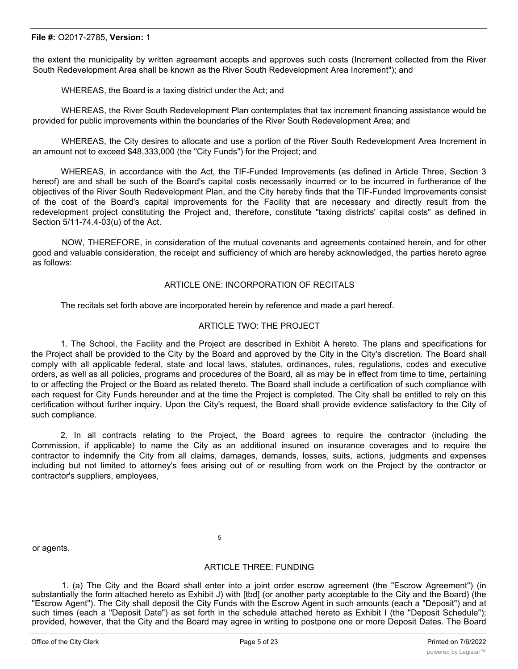the extent the municipality by written agreement accepts and approves such costs (Increment collected from the River South Redevelopment Area shall be known as the River South Redevelopment Area Increment"); and

WHEREAS, the Board is a taxing district under the Act; and

WHEREAS, the River South Redevelopment Plan contemplates that tax increment financing assistance would be provided for public improvements within the boundaries of the River South Redevelopment Area; and

WHEREAS, the City desires to allocate and use a portion of the River South Redevelopment Area Increment in an amount not to exceed \$48,333,000 (the "City Funds") for the Project; and

WHEREAS, in accordance with the Act, the TIF-Funded Improvements (as defined in Article Three, Section 3 hereof) are and shall be such of the Board's capital costs necessarily incurred or to be incurred in furtherance of the objectives of the River South Redevelopment Plan, and the City hereby finds that the TIF-Funded Improvements consist of the cost of the Board's capital improvements for the Facility that are necessary and directly result from the redevelopment project constituting the Project and, therefore, constitute "taxing districts' capital costs" as defined in Section 5/11-74.4-03(u) of the Act.

NOW, THEREFORE, in consideration of the mutual covenants and agreements contained herein, and for other good and valuable consideration, the receipt and sufficiency of which are hereby acknowledged, the parties hereto agree as follows:

#### ARTICLE ONE: INCORPORATION OF RECITALS

The recitals set forth above are incorporated herein by reference and made a part hereof.

#### ARTICLE TWO: THE PROJECT

1. The School, the Facility and the Project are described in Exhibit A hereto. The plans and specifications for the Project shall be provided to the City by the Board and approved by the City in the City's discretion. The Board shall comply with all applicable federal, state and local laws, statutes, ordinances, rules, regulations, codes and executive orders, as well as all policies, programs and procedures of the Board, all as may be in effect from time to time, pertaining to or affecting the Project or the Board as related thereto. The Board shall include a certification of such compliance with each request for City Funds hereunder and at the time the Project is completed. The City shall be entitled to rely on this certification without further inquiry. Upon the City's request, the Board shall provide evidence satisfactory to the City of such compliance.

2. In all contracts relating to the Project, the Board agrees to require the contractor (including the Commission, if applicable) to name the City as an additional insured on insurance coverages and to require the contractor to indemnify the City from all claims, damages, demands, losses, suits, actions, judgments and expenses including but not limited to attorney's fees arising out of or resulting from work on the Project by the contractor or contractor's suppliers, employees,

or agents.

#### 5

## ARTICLE THREE: FUNDING

1. (a) The City and the Board shall enter into a joint order escrow agreement (the "Escrow Agreement") (in substantially the form attached hereto as Exhibit J) with [tbd] (or another party acceptable to the City and the Board) (the "Escrow Agent"). The City shall deposit the City Funds with the Escrow Agent in such amounts (each a "Deposit") and at such times (each a "Deposit Date") as set forth in the schedule attached hereto as Exhibit I (the "Deposit Schedule"); provided, however, that the City and the Board may agree in writing to postpone one or more Deposit Dates. The Board shall provide the City with a written request for each Deposit (each a "Deposit Request", in substantially the form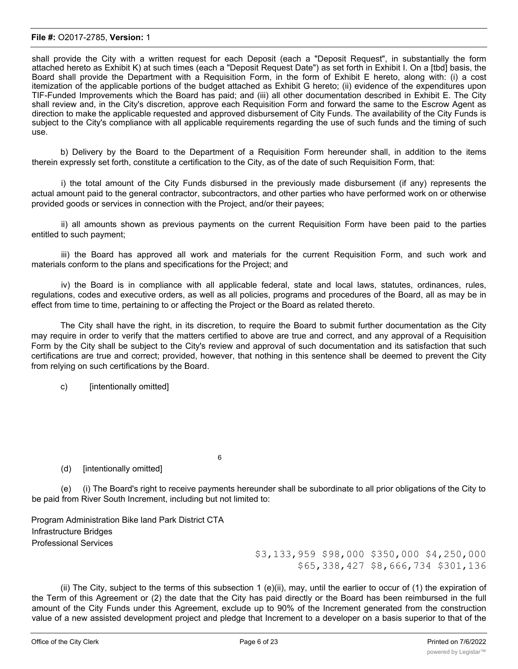shall provide the City with a written request for each Deposit (each a "Deposit Request", in substantially the form attached hereto as Exhibit K) at such times (each a "Deposit Request Date") as set forth in Exhibit I. On a [tbd] basis, the Board shall provide the Department with a Requisition Form, in the form of Exhibit E hereto, along with: (i) a cost itemization of the applicable portions of the budget attached as Exhibit G hereto; (ii) evidence of the expenditures upon TIF-Funded Improvements which the Board has paid; and (iii) all other documentation described in Exhibit E. The City shall review and, in the City's discretion, approve each Requisition Form and forward the same to the Escrow Agent as direction to make the applicable requested and approved disbursement of City Funds. The availability of the City Funds is subject to the City's compliance with all applicable requirements regarding the use of such funds and the timing of such use.

b) Delivery by the Board to the Department of a Requisition Form hereunder shall, in addition to the items therein expressly set forth, constitute a certification to the City, as of the date of such Requisition Form, that:

i) the total amount of the City Funds disbursed in the previously made disbursement (if any) represents the actual amount paid to the general contractor, subcontractors, and other parties who have performed work on or otherwise provided goods or services in connection with the Project, and/or their payees;

ii) all amounts shown as previous payments on the current Requisition Form have been paid to the parties entitled to such payment;

iii) the Board has approved all work and materials for the current Requisition Form, and such work and materials conform to the plans and specifications for the Project; and

iv) the Board is in compliance with all applicable federal, state and local laws, statutes, ordinances, rules, regulations, codes and executive orders, as well as all policies, programs and procedures of the Board, all as may be in effect from time to time, pertaining to or affecting the Project or the Board as related thereto.

The City shall have the right, in its discretion, to require the Board to submit further documentation as the City may require in order to verify that the matters certified to above are true and correct, and any approval of a Requisition Form by the City shall be subject to the City's review and approval of such documentation and its satisfaction that such certifications are true and correct; provided, however, that nothing in this sentence shall be deemed to prevent the City from relying on such certifications by the Board.

c) [intentionally omitted]

(d) [intentionally omitted]

(e) (i) The Board's right to receive payments hereunder shall be subordinate to all prior obligations of the City to be paid from River South Increment, including but not limited to:

6

Program Administration Bike land Park District CTA Infrastructure Bridges Professional Services

\$3,133,959 \$98,000 \$350,000 \$4,250,000 \$65,338,427 \$8,666,734 \$301,136

(ii) The City, subject to the terms of this subsection 1 (e)(ii), may, until the earlier to occur of (1) the expiration of the Term of this Agreement or (2) the date that the City has paid directly or the Board has been reimbursed in the full amount of the City Funds under this Agreement, exclude up to 90% of the Increment generated from the construction value of a new assisted development project and pledge that Increment to a developer on a basis superior to that of the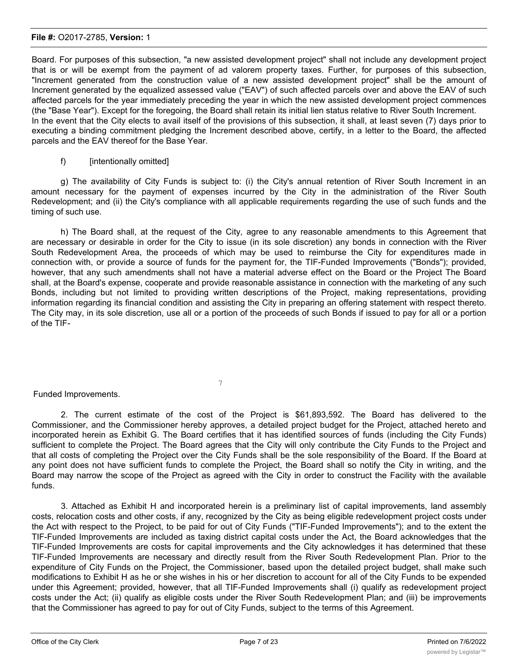Board. For purposes of this subsection, "a new assisted development project" shall not include any development project that is or will be exempt from the payment of ad valorem property taxes. Further, for purposes of this subsection, "Increment generated from the construction value of a new assisted development project" shall be the amount of Increment generated by the equalized assessed value ("EAV") of such affected parcels over and above the EAV of such affected parcels for the year immediately preceding the year in which the new assisted development project commences (the "Base Year"). Except for the foregoing, the Board shall retain its initial lien status relative to River South Increment. In the event that the City elects to avail itself of the provisions of this subsection, it shall, at least seven (7) days prior to executing a binding commitment pledging the Increment described above, certify, in a letter to the Board, the affected parcels and the EAV thereof for the Base Year.

## f) [intentionally omitted]

g) The availability of City Funds is subject to: (i) the City's annual retention of River South Increment in an amount necessary for the payment of expenses incurred by the City in the administration of the River South Redevelopment; and (ii) the City's compliance with all applicable requirements regarding the use of such funds and the timing of such use.

h) The Board shall, at the request of the City, agree to any reasonable amendments to this Agreement that are necessary or desirable in order for the City to issue (in its sole discretion) any bonds in connection with the River South Redevelopment Area, the proceeds of which may be used to reimburse the City for expenditures made in connection with, or provide a source of funds for the payment for, the TIF-Funded Improvements ("Bonds"); provided, however, that any such amendments shall not have a material adverse effect on the Board or the Project The Board shall, at the Board's expense, cooperate and provide reasonable assistance in connection with the marketing of any such Bonds, including but not limited to providing written descriptions of the Project, making representations, providing information regarding its financial condition and assisting the City in preparing an offering statement with respect thereto. The City may, in its sole discretion, use all or a portion of the proceeds of such Bonds if issued to pay for all or a portion of the TIF-

7

## Funded Improvements.

2. The current estimate of the cost of the Project is \$61,893,592. The Board has delivered to the Commissioner, and the Commissioner hereby approves, a detailed project budget for the Project, attached hereto and incorporated herein as Exhibit G. The Board certifies that it has identified sources of funds (including the City Funds) sufficient to complete the Project. The Board agrees that the City will only contribute the City Funds to the Project and that all costs of completing the Project over the City Funds shall be the sole responsibility of the Board. If the Board at any point does not have sufficient funds to complete the Project, the Board shall so notify the City in writing, and the Board may narrow the scope of the Project as agreed with the City in order to construct the Facility with the available funds.

3. Attached as Exhibit H and incorporated herein is a preliminary list of capital improvements, land assembly costs, relocation costs and other costs, if any, recognized by the City as being eligible redevelopment project costs under the Act with respect to the Project, to be paid for out of City Funds ("TIF-Funded Improvements"); and to the extent the TIF-Funded Improvements are included as taxing district capital costs under the Act, the Board acknowledges that the TIF-Funded Improvements are costs for capital improvements and the City acknowledges it has determined that these TIF-Funded Improvements are necessary and directly result from the River South Redevelopment Plan. Prior to the expenditure of City Funds on the Project, the Commissioner, based upon the detailed project budget, shall make such modifications to Exhibit H as he or she wishes in his or her discretion to account for all of the City Funds to be expended under this Agreement; provided, however, that all TIF-Funded Improvements shall (i) qualify as redevelopment project costs under the Act; (ii) qualify as eligible costs under the River South Redevelopment Plan; and (iii) be improvements that the Commissioner has agreed to pay for out of City Funds, subject to the terms of this Agreement.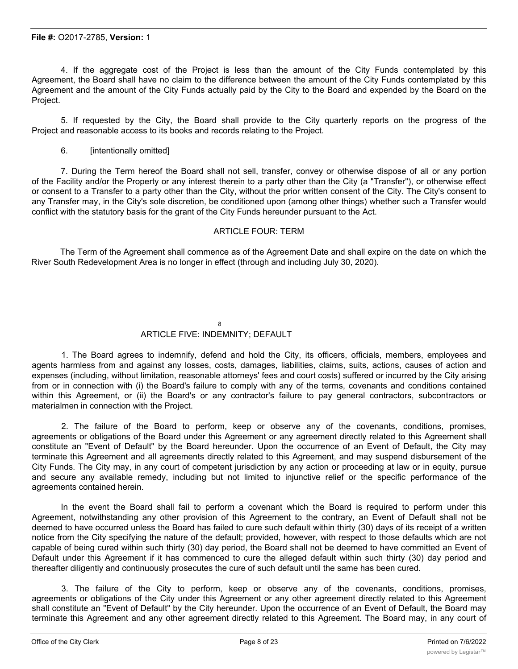4. If the aggregate cost of the Project is less than the amount of the City Funds contemplated by this Agreement, the Board shall have no claim to the difference between the amount of the City Funds contemplated by this Agreement and the amount of the City Funds actually paid by the City to the Board and expended by the Board on the Project.

5. If requested by the City, the Board shall provide to the City quarterly reports on the progress of the Project and reasonable access to its books and records relating to the Project.

6. [intentionally omitted]

7. During the Term hereof the Board shall not sell, transfer, convey or otherwise dispose of all or any portion of the Facility and/or the Property or any interest therein to a party other than the City (a "Transfer"), or otherwise effect or consent to a Transfer to a party other than the City, without the prior written consent of the City. The City's consent to any Transfer may, in the City's sole discretion, be conditioned upon (among other things) whether such a Transfer would conflict with the statutory basis for the grant of the City Funds hereunder pursuant to the Act.

## ARTICLE FOUR: TERM

The Term of the Agreement shall commence as of the Agreement Date and shall expire on the date on which the River South Redevelopment Area is no longer in effect (through and including July 30, 2020).

#### 8 ARTICLE FIVE: INDEMNITY; DEFAULT

1. The Board agrees to indemnify, defend and hold the City, its officers, officials, members, employees and agents harmless from and against any losses, costs, damages, liabilities, claims, suits, actions, causes of action and expenses (including, without limitation, reasonable attorneys' fees and court costs) suffered or incurred by the City arising from or in connection with (i) the Board's failure to comply with any of the terms, covenants and conditions contained within this Agreement, or (ii) the Board's or any contractor's failure to pay general contractors, subcontractors or materialmen in connection with the Project.

2. The failure of the Board to perform, keep or observe any of the covenants, conditions, promises, agreements or obligations of the Board under this Agreement or any agreement directly related to this Agreement shall constitute an "Event of Default" by the Board hereunder. Upon the occurrence of an Event of Default, the City may terminate this Agreement and all agreements directly related to this Agreement, and may suspend disbursement of the City Funds. The City may, in any court of competent jurisdiction by any action or proceeding at law or in equity, pursue and secure any available remedy, including but not limited to injunctive relief or the specific performance of the agreements contained herein.

In the event the Board shall fail to perform a covenant which the Board is required to perform under this Agreement, notwithstanding any other provision of this Agreement to the contrary, an Event of Default shall not be deemed to have occurred unless the Board has failed to cure such default within thirty (30) days of its receipt of a written notice from the City specifying the nature of the default; provided, however, with respect to those defaults which are not capable of being cured within such thirty (30) day period, the Board shall not be deemed to have committed an Event of Default under this Agreement if it has commenced to cure the alleged default within such thirty (30) day period and thereafter diligently and continuously prosecutes the cure of such default until the same has been cured.

3. The failure of the City to perform, keep or observe any of the covenants, conditions, promises, agreements or obligations of the City under this Agreement or any other agreement directly related to this Agreement shall constitute an "Event of Default" by the City hereunder. Upon the occurrence of an Event of Default, the Board may terminate this Agreement and any other agreement directly related to this Agreement. The Board may, in any court of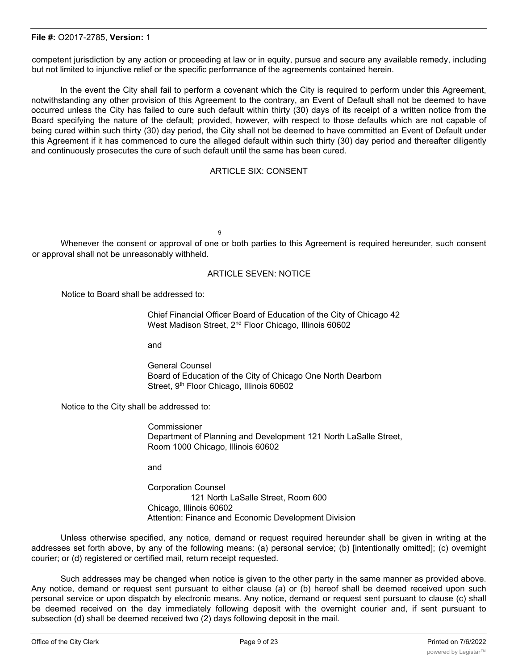competent jurisdiction by any action or proceeding at law or in equity, pursue and secure any available remedy, including but not limited to injunctive relief or the specific performance of the agreements contained herein.

In the event the City shall fail to perform a covenant which the City is required to perform under this Agreement, notwithstanding any other provision of this Agreement to the contrary, an Event of Default shall not be deemed to have occurred unless the City has failed to cure such default within thirty (30) days of its receipt of a written notice from the Board specifying the nature of the default; provided, however, with respect to those defaults which are not capable of being cured within such thirty (30) day period, the City shall not be deemed to have committed an Event of Default under this Agreement if it has commenced to cure the alleged default within such thirty (30) day period and thereafter diligently and continuously prosecutes the cure of such default until the same has been cured.

#### ARTICLE SIX: CONSENT

9

Whenever the consent or approval of one or both parties to this Agreement is required hereunder, such consent or approval shall not be unreasonably withheld.

## ARTICLE SEVEN: NOTICE

Notice to Board shall be addressed to:

Chief Financial Officer Board of Education of the City of Chicago 42 West Madison Street, 2<sup>nd</sup> Floor Chicago, Illinois 60602

and

General Counsel Board of Education of the City of Chicago One North Dearborn Street, 9<sup>th</sup> Floor Chicago, Illinois 60602

Notice to the City shall be addressed to:

**Commissioner** Department of Planning and Development 121 North LaSalle Street, Room 1000 Chicago, Illinois 60602

and

Corporation Counsel 121 North LaSalle Street, Room 600 Chicago, Illinois 60602 Attention: Finance and Economic Development Division

Unless otherwise specified, any notice, demand or request required hereunder shall be given in writing at the addresses set forth above, by any of the following means: (a) personal service; (b) [intentionally omitted]; (c) overnight courier; or (d) registered or certified mail, return receipt requested.

Such addresses may be changed when notice is given to the other party in the same manner as provided above. Any notice, demand or request sent pursuant to either clause (a) or (b) hereof shall be deemed received upon such personal service or upon dispatch by electronic means. Any notice, demand or request sent pursuant to clause (c) shall be deemed received on the day immediately following deposit with the overnight courier and, if sent pursuant to subsection (d) shall be deemed received two (2) days following deposit in the mail.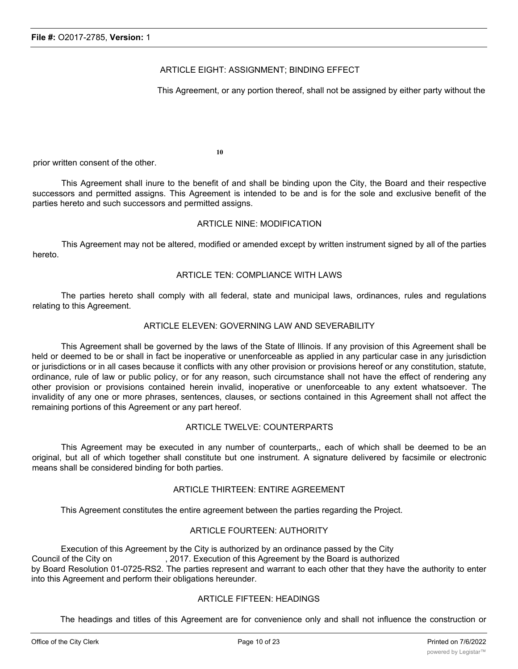## ARTICLE EIGHT: ASSIGNMENT; BINDING EFFECT

This Agreement, or any portion thereof, shall not be assigned by either party without the

**10**

prior written consent of the other.

This Agreement shall inure to the benefit of and shall be binding upon the City, the Board and their respective successors and permitted assigns. This Agreement is intended to be and is for the sole and exclusive benefit of the parties hereto and such successors and permitted assigns.

#### ARTICLE NINE: MODIFICATION

This Agreement may not be altered, modified or amended except by written instrument signed by all of the parties hereto.

## ARTICLE TEN: COMPLIANCE WITH LAWS

The parties hereto shall comply with all federal, state and municipal laws, ordinances, rules and regulations relating to this Agreement.

## ARTICLE ELEVEN: GOVERNING LAW AND SEVERABILITY

This Agreement shall be governed by the laws of the State of Illinois. If any provision of this Agreement shall be held or deemed to be or shall in fact be inoperative or unenforceable as applied in any particular case in any jurisdiction or jurisdictions or in all cases because it conflicts with any other provision or provisions hereof or any constitution, statute, ordinance, rule of law or public policy, or for any reason, such circumstance shall not have the effect of rendering any other provision or provisions contained herein invalid, inoperative or unenforceable to any extent whatsoever. The invalidity of any one or more phrases, sentences, clauses, or sections contained in this Agreement shall not affect the remaining portions of this Agreement or any part hereof.

## ARTICLE TWELVE: COUNTERPARTS

This Agreement may be executed in any number of counterparts,, each of which shall be deemed to be an original, but all of which together shall constitute but one instrument. A signature delivered by facsimile or electronic means shall be considered binding for both parties.

#### ARTICLE THIRTEEN: ENTIRE AGREEMENT

This Agreement constitutes the entire agreement between the parties regarding the Project.

#### ARTICLE FOURTEEN: AUTHORITY

Execution of this Agreement by the City is authorized by an ordinance passed by the City Council of the City on , 2017. Execution of this Agreement by the Board is authorized by Board Resolution 01-0725-RS2. The parties represent and warrant to each other that they have the authority to enter into this Agreement and perform their obligations hereunder.

## ARTICLE FIFTEEN: HEADINGS

The headings and titles of this Agreement are for convenience only and shall not influence the construction or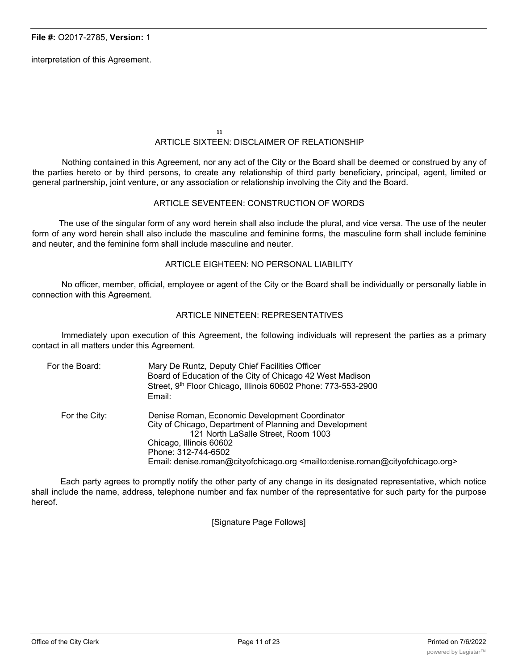interpretation of this Agreement.

**11**

# ARTICLE SIXTEEN: DISCLAIMER OF RELATIONSHIP

Nothing contained in this Agreement, nor any act of the City or the Board shall be deemed or construed by any of the parties hereto or by third persons, to create any relationship of third party beneficiary, principal, agent, limited or general partnership, joint venture, or any association or relationship involving the City and the Board.

## ARTICLE SEVENTEEN: CONSTRUCTION OF WORDS

The use of the singular form of any word herein shall also include the plural, and vice versa. The use of the neuter form of any word herein shall also include the masculine and feminine forms, the masculine form shall include feminine and neuter, and the feminine form shall include masculine and neuter.

## ARTICLE EIGHTEEN: NO PERSONAL LIABILITY

No officer, member, official, employee or agent of the City or the Board shall be individually or personally liable in connection with this Agreement.

#### ARTICLE NINETEEN: REPRESENTATIVES

Immediately upon execution of this Agreement, the following individuals will represent the parties as a primary contact in all matters under this Agreement.

| For the Board: | Mary De Runtz, Deputy Chief Facilities Officer<br>Board of Education of the City of Chicago 42 West Madison<br>Street, 9th Floor Chicago, Illinois 60602 Phone: 773-553-2900<br>Email:                                                                                                                                      |
|----------------|-----------------------------------------------------------------------------------------------------------------------------------------------------------------------------------------------------------------------------------------------------------------------------------------------------------------------------|
| For the City:  | Denise Roman, Economic Development Coordinator<br>City of Chicago, Department of Planning and Development<br>121 North LaSalle Street, Room 1003<br>Chicago, Illinois 60602<br>Phone: 312-744-6502<br>Email: denise.roman@cityofchicago.org <mailto:denise.roman@cityofchicago.org></mailto:denise.roman@cityofchicago.org> |

Each party agrees to promptly notify the other party of any change in its designated representative, which notice shall include the name, address, telephone number and fax number of the representative for such party for the purpose hereof.

[Signature Page Follows]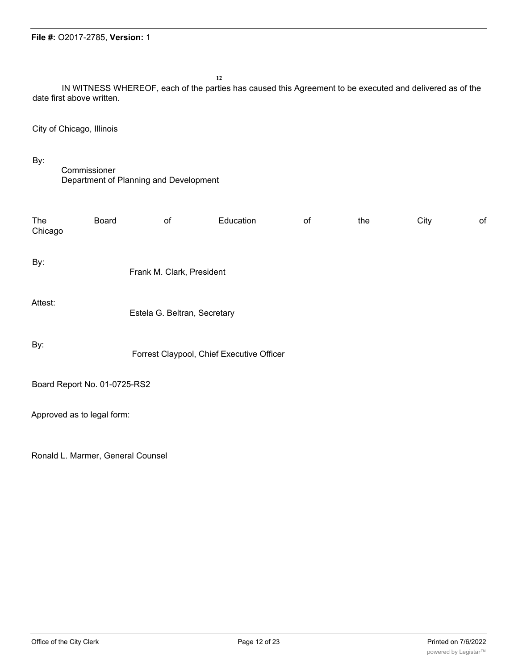**12** IN WITNESS WHEREOF, each of the parties has caused this Agreement to be executed and delivered as of the date first above written. City of Chicago, Illinois By: Commissioner Department of Planning and Development The Board of Education of the City of Chicago By: Frank M. Clark, President Attest: Estela G. Beltran, Secretary By: Forrest Claypool, Chief Executive Officer Board Report No. 01-0725-RS2 Approved as to legal form:

Ronald L. Marmer, General Counsel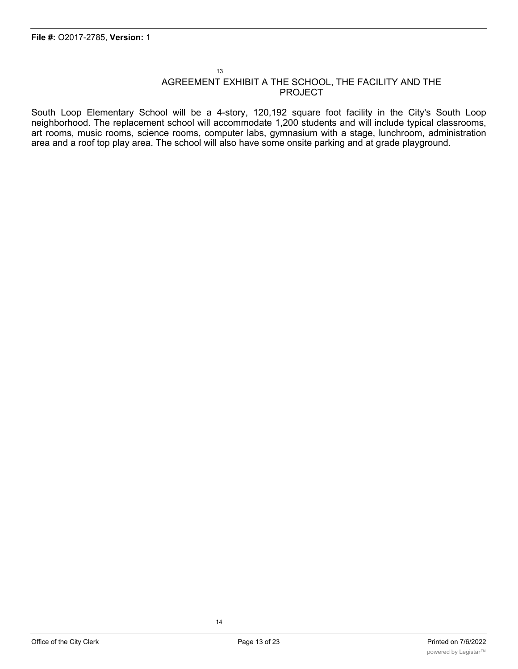#### 13 AGREEMENT EXHIBIT A THE SCHOOL, THE FACILITY AND THE PROJECT

South Loop Elementary School will be a 4-story, 120,192 square foot facility in the City's South Loop neighborhood. The replacement school will accommodate 1,200 students and will include typical classrooms, art rooms, music rooms, science rooms, computer labs, gymnasium with a stage, lunchroom, administration area and a roof top play area. The school will also have some onsite parking and at grade playground.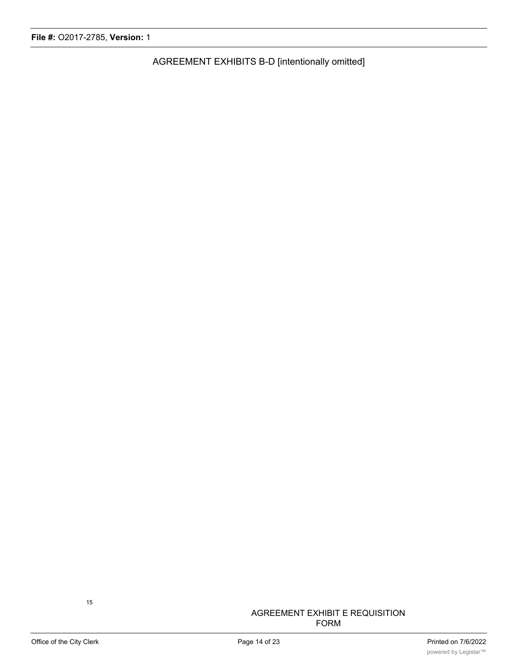AGREEMENT EXHIBITS B-D [intentionally omitted]

## AGREEMENT EXHIBIT E REQUISITION FORM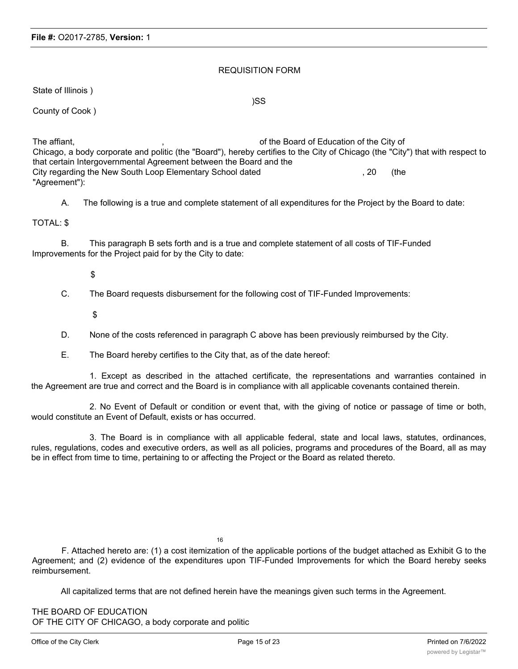## REQUISITION FORM

State of Illinois )

)SS

County of Cook )

The affiant,  $\blacksquare$  ,  $\blacksquare$  affiant,  $\blacksquare$  , and  $\blacksquare$  of the Board of Education of the City of Chicago, a body corporate and politic (the "Board"), hereby certifies to the City of Chicago (the "City") that with respect to that certain Intergovernmental Agreement between the Board and the City regarding the New South Loop Elementary School dated , 20 (the "Agreement"):

A. The following is a true and complete statement of all expenditures for the Project by the Board to date:

## TOTAL: \$

B. This paragraph B sets forth and is a true and complete statement of all costs of TIF-Funded Improvements for the Project paid for by the City to date:

\$

C. The Board requests disbursement for the following cost of TIF-Funded Improvements:

\$

- D. None of the costs referenced in paragraph C above has been previously reimbursed by the City.
- E. The Board hereby certifies to the City that, as of the date hereof:

1. Except as described in the attached certificate, the representations and warranties contained in the Agreement are true and correct and the Board is in compliance with all applicable covenants contained therein.

2. No Event of Default or condition or event that, with the giving of notice or passage of time or both, would constitute an Event of Default, exists or has occurred.

3. The Board is in compliance with all applicable federal, state and local laws, statutes, ordinances, rules, regulations, codes and executive orders, as well as all policies, programs and procedures of the Board, all as may be in effect from time to time, pertaining to or affecting the Project or the Board as related thereto.

16

F. Attached hereto are: (1) a cost itemization of the applicable portions of the budget attached as Exhibit G to the Agreement; and (2) evidence of the expenditures upon TIF-Funded Improvements for which the Board hereby seeks reimbursement.

All capitalized terms that are not defined herein have the meanings given such terms in the Agreement.

THE BOARD OF EDUCATION OF THE CITY OF CHICAGO, a body corporate and politic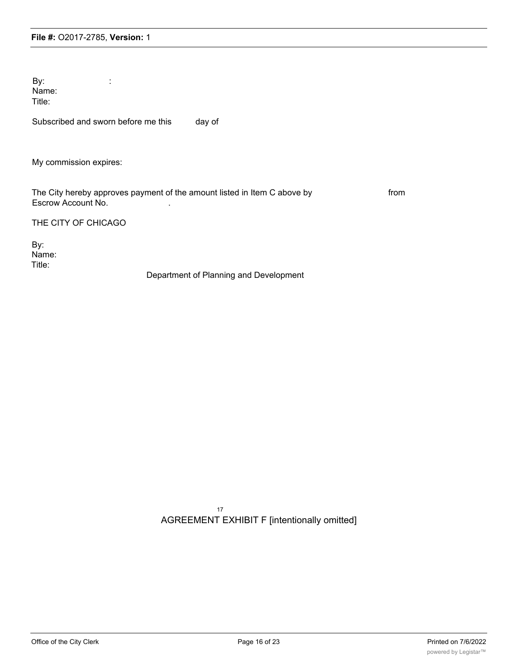By: the set of  $\mathbf{B}$ : Name: Title:

Subscribed and sworn before me this day of

My commission expires:

The City hereby approves payment of the amount listed in Item C above by from Escrow Account No. .

THE CITY OF CHICAGO

By: Name: Title:

Department of Planning and Development

17 AGREEMENT EXHIBIT F [intentionally omitted]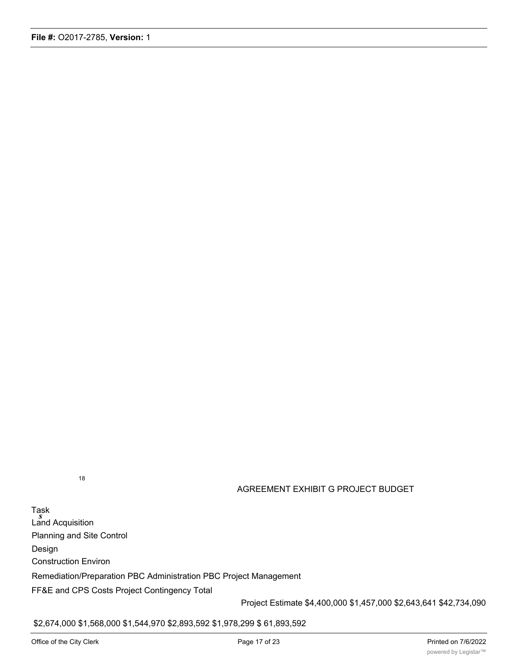18

## AGREEMENT EXHIBIT G PROJECT BUDGET

Task *s* Land Acquisition Planning and Site Control Design Construction Environ Remediation/Preparation PBC Administration PBC Project Management FF&E and CPS Costs Project Contingency Total

Project Estimate \$4,400,000 \$1,457,000 \$2,643,641 \$42,734,090

\$2,674,000 \$1,568,000 \$1,544,970 \$2,893,592 \$1,978,299 \$ 61,893,592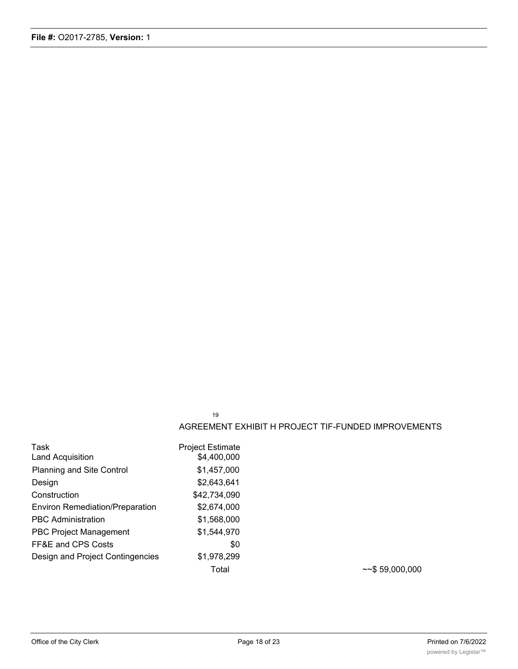19

#### AGREEMENT EXHIBIT H PROJECT TIF-FUNDED IMPROVEMENTS

| Task                                   | <b>Project Estimate</b> |
|----------------------------------------|-------------------------|
| Land Acquisition                       | \$4,400,000             |
| Planning and Site Control              | \$1,457,000             |
| Design                                 | \$2,643,641             |
| Construction                           | \$42,734,090            |
| <b>Environ Remediation/Preparation</b> | \$2,674,000             |
| <b>PBC Administration</b>              | \$1,568,000             |
| <b>PBC Project Management</b>          | \$1,544,970             |
| FF&E and CPS Costs                     | \$0                     |
| Design and Project Contingencies       | \$1,978,299             |
|                                        | Total                   |

 $~\sim$ \$ 59,000,000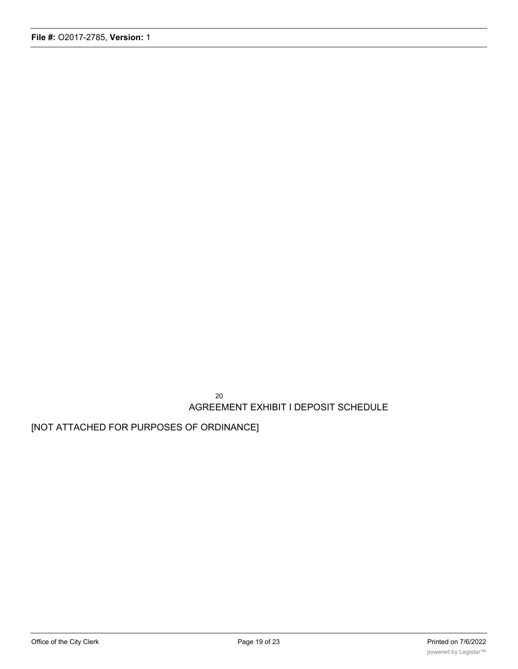20 AGREEMENT EXHIBIT I DEPOSIT SCHEDULE

[NOT ATTACHED FOR PURPOSES OF ORDINANCE]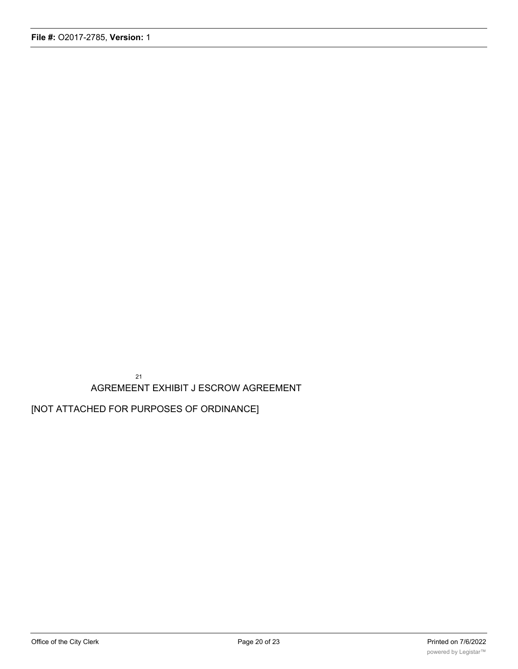21 AGREMEENT EXHIBIT J ESCROW AGREEMENT

[NOT ATTACHED FOR PURPOSES OF ORDINANCE]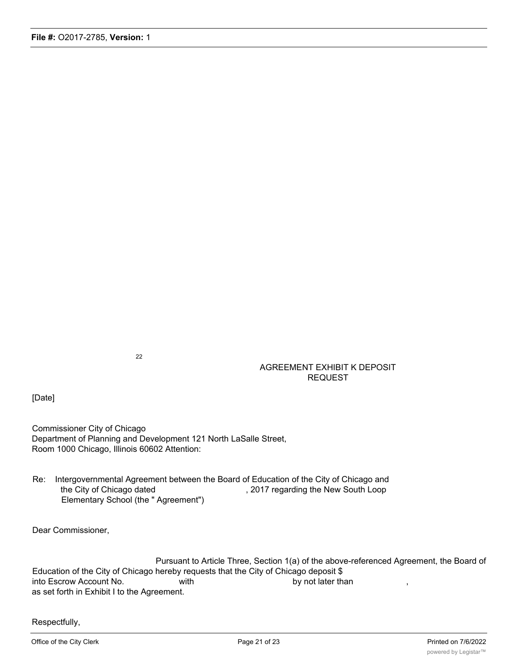22

## AGREEMENT EXHIBIT K DEPOSIT REQUEST

[Date]

Commissioner City of Chicago Department of Planning and Development 121 North LaSalle Street, Room 1000 Chicago, Illinois 60602 Attention:

Re: Intergovernmental Agreement between the Board of Education of the City of Chicago and the City of Chicago dated , 2017 regarding the New South Loop Elementary School (the " Agreement")

Dear Commissioner,

Pursuant to Article Three, Section 1(a) of the above-referenced Agreement, the Board of Education of the City of Chicago hereby requests that the City of Chicago deposit \$ into Escrow Account No. With by not later than as set forth in Exhibit I to the Agreement.

Respectfully,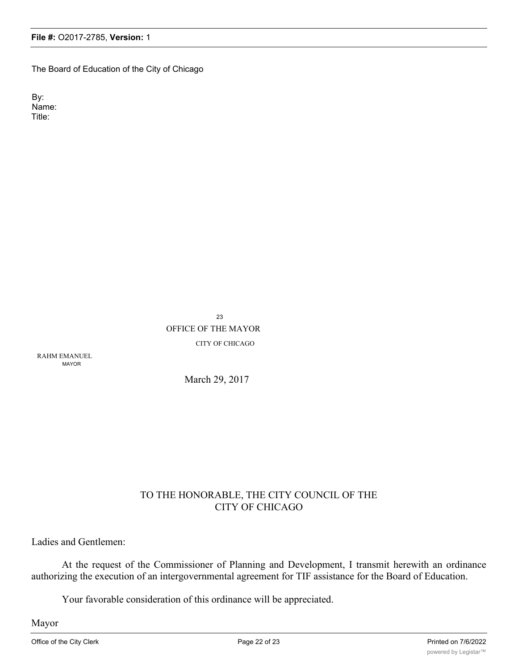The Board of Education of the City of Chicago

By: Name: Title:

> 23 OFFICE OF THE MAYOR CITY OF CHICAGO

RAHM EMANUEL MAYOR

March 29, 2017

# TO THE HONORABLE, THE CITY COUNCIL OF THE CITY OF CHICAGO

Ladies and Gentlemen:

At the request of the Commissioner of Planning and Development, I transmit herewith an ordinance authorizing the execution of an intergovernmental agreement for TIF assistance for the Board of Education.

Your favorable consideration of this ordinance will be appreciated.

Mayor